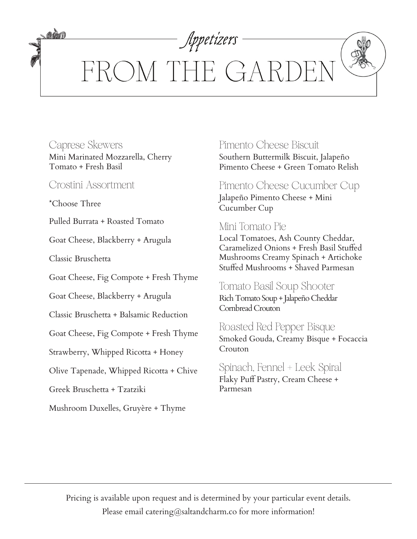Appetizers FROM THE GARDI

### Caprese Skewers Mini Marinated Mozzarella, Cherry Tomato + Fresh Basil

Crostini Assortment

\*Choose Three

**MAN** 

Pulled Burrata + Roasted Tomato

Goat Cheese, Blackberry + Arugula

Classic Bruschetta

Goat Cheese, Fig Compote + Fresh Thyme

Goat Cheese, Blackberry + Arugula

Classic Bruschetta + Balsamic Reduction

Goat Cheese, Fig Compote + Fresh Thyme

Strawberry, Whipped Ricotta + Honey

Olive Tapenade, Whipped Ricotta + Chive

Greek Bruschetta + Tzatziki

Mushroom Duxelles, Gruyère + Thyme

## Pimento Cheese Biscuit

Southern Buttermilk Biscuit, Jalapeño Pimento Cheese + Green Tomato Relish

# Pimento Cheese Cucumber Cup

Jalapeño Pimento Cheese + Mini Cucumber Cup

## Mini Tomato Pie

Local Tomatoes, Ash County Cheddar, Caramelized Onions + Fresh Basil Stuffed Mushrooms Creamy Spinach + Artichoke Stuffed Mushrooms + Shaved Parmesan

#### Tomato Basil Soup Shooter Rich Tomato Soup + Jalapeño Cheddar Cornbread Crouton

### Roasted Red Pepper Bisque Smoked Gouda, Creamy Bisque + Focaccia Crouton

### Spinach, Fennel + Leek Spiral Flaky Puff Pastry, Cream Cheese + Parmesan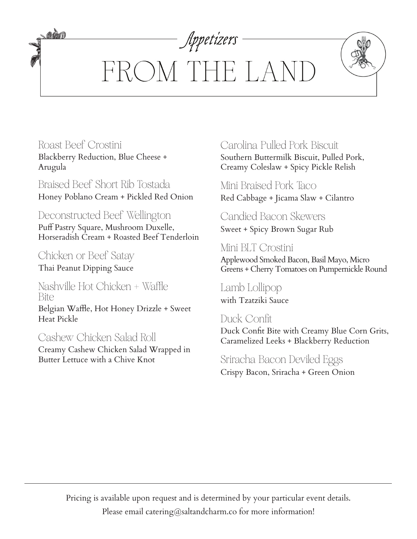# Appetizers FROM THE LANI

Roast Beef Crostini Blackberry Reduction, Blue Cheese + Arugula

*adda* 

Braised Beef Short Rib Tostada Honey Poblano Cream + Pickled Red Onion

Deconstructed Beef Wellington Puff Pastry Square, Mushroom Duxelle, Horseradish Cream + Roasted Beef Tenderloin

Chicken or Beef Satay Thai Peanut Dipping Sauce

Nashville Hot Chicken + Waffle Bite Belgian Waffle, Hot Honey Drizzle + Sweet

Heat Pickle

Cashew Chicken Salad Roll Creamy Cashew Chicken Salad Wrapped in Butter Lettuce with a Chive Knot

## Carolina Pulled Pork Biscuit

Southern Buttermilk Biscuit, Pulled Pork, Creamy Coleslaw + Spicy Pickle Relish

Mini Braised Pork Taco Red Cabbage + Jicama Slaw + Cilantro

## Candied Bacon Skewers

Sweet + Spicy Brown Sugar Rub

Mini BLT Crostini Applewood Smoked Bacon, Basil Mayo, Micro Greens + Cherry Tomatoes on Pumpernickle Round

Lamb Lollipop with Tzatziki Sauce

Duck Confit Duck Confit Bite with Creamy Blue Corn Grits, Caramelized Leeks + Blackberry Reduction

Sriracha Bacon Deviled Eggs Crispy Bacon, Sriracha + Green Onion

Pricing is available upon request and is determined by your particular event details. Please email catering@saltandcharm.co for more information!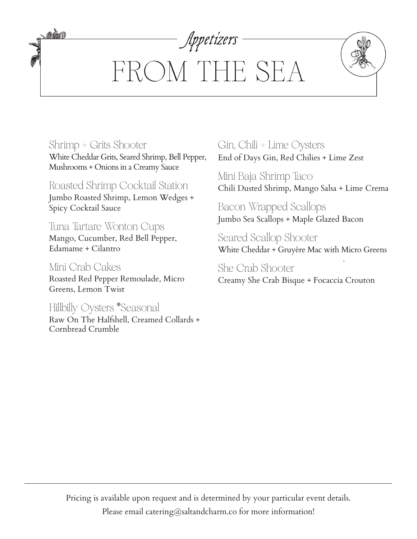# Appetizers FROM THE SEA

Shrimp + Grits Shooter White Cheddar Grits, Seared Shrimp, Bell Pepper, Mushrooms + Onions in a Creamy Sauce

amm

Roasted Shrimp Cocktail Station Jumbo Roasted Shrimp, Lemon Wedges + Spicy Cocktail Sauce

Tuna Tartare Wonton Cups Mango, Cucumber, Red Bell Pepper, Edamame + Cilantro

Mini Crab Cakes Roasted Red Pepper Remoulade, Micro Greens, Lemon Twist

Hillbilly Oysters \*Seasonal Raw On The Halfshell, Creamed Collards + Cornbread Crumble

Gin, Chili + Lime Oysters End of Days Gin, Red Chilies + Lime Zest

Mini Baja Shrimp Taco Chili Dusted Shrimp, Mango Salsa + Lime Crema

Bacon Wrapped Scallops Jumbo Sea Scallops + Maple Glazed Bacon

Seared Scallop Shooter White Cheddar + Gruyère Mac with Micro Greens

She Crab Shooter Creamy She Crab Bisque + Focaccia Crouton

Pricing is available upon request and is determined by your particular event details. Please email catering@saltandcharm.co for more information!